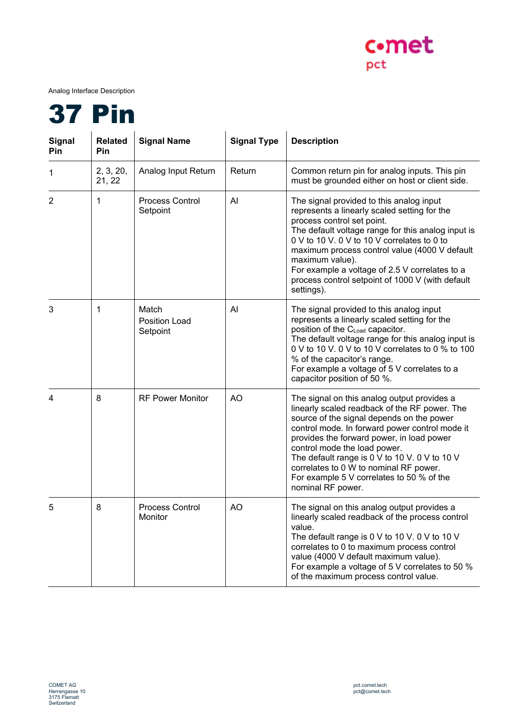

Analog Interface Description



| Signal<br>Pin | <b>Related</b><br>Pin | <b>Signal Name</b>                        | <b>Signal Type</b> | <b>Description</b>                                                                                                                                                                                                                                                                                                                                                                                                                    |
|---------------|-----------------------|-------------------------------------------|--------------------|---------------------------------------------------------------------------------------------------------------------------------------------------------------------------------------------------------------------------------------------------------------------------------------------------------------------------------------------------------------------------------------------------------------------------------------|
| 1             | 2, 3, 20,<br>21, 22   | Analog Input Return                       | Return             | Common return pin for analog inputs. This pin<br>must be grounded either on host or client side.                                                                                                                                                                                                                                                                                                                                      |
| 2             | 1                     | <b>Process Control</b><br>Setpoint        | AI                 | The signal provided to this analog input<br>represents a linearly scaled setting for the<br>process control set point.<br>The default voltage range for this analog input is<br>0 V to 10 V. 0 V to 10 V correlates to 0 to<br>maximum process control value (4000 V default<br>maximum value).<br>For example a voltage of 2.5 V correlates to a<br>process control setpoint of 1000 V (with default<br>settings).                   |
| 3             | 1                     | Match<br><b>Position Load</b><br>Setpoint | Al                 | The signal provided to this analog input<br>represents a linearly scaled setting for the<br>position of the CLoad capacitor.<br>The default voltage range for this analog input is<br>0 V to 10 V. 0 V to 10 V correlates to 0 % to 100<br>% of the capacitor's range.<br>For example a voltage of 5 V correlates to a<br>capacitor position of 50 %.                                                                                 |
| 4             | 8                     | <b>RF Power Monitor</b>                   | AO                 | The signal on this analog output provides a<br>linearly scaled readback of the RF power. The<br>source of the signal depends on the power<br>control mode. In forward power control mode it<br>provides the forward power, in load power<br>control mode the load power.<br>The default range is 0 V to 10 V. 0 V to 10 V<br>correlates to 0 W to nominal RF power.<br>For example 5 V correlates to 50 % of the<br>nominal RF power. |
| 5             | 8                     | <b>Process Control</b><br>Monitor         | AO                 | The signal on this analog output provides a<br>linearly scaled readback of the process control<br>value.<br>The default range is 0 V to 10 V. 0 V to 10 V<br>correlates to 0 to maximum process control<br>value (4000 V default maximum value).<br>For example a voltage of 5 V correlates to 50 %<br>of the maximum process control value.                                                                                          |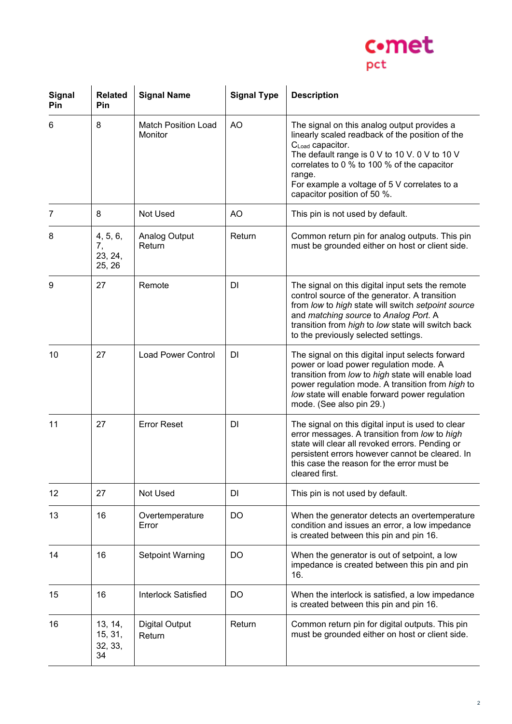

| <b>Signal</b><br>Pin | <b>Related</b><br>Pin               | <b>Signal Name</b>                    | <b>Signal Type</b> | <b>Description</b>                                                                                                                                                                                                                                                                                                      |
|----------------------|-------------------------------------|---------------------------------------|--------------------|-------------------------------------------------------------------------------------------------------------------------------------------------------------------------------------------------------------------------------------------------------------------------------------------------------------------------|
| 6                    | 8                                   | <b>Match Position Load</b><br>Monitor | AO                 | The signal on this analog output provides a<br>linearly scaled readback of the position of the<br>C <sub>Load</sub> capacitor.<br>The default range is 0 V to 10 V. 0 V to 10 V<br>correlates to 0 % to 100 % of the capacitor<br>range.<br>For example a voltage of 5 V correlates to a<br>capacitor position of 50 %. |
| 7                    | 8                                   | Not Used                              | AO                 | This pin is not used by default.                                                                                                                                                                                                                                                                                        |
| 8                    | 4, 5, 6,<br>7,<br>23, 24,<br>25, 26 | Analog Output<br>Return               | Return             | Common return pin for analog outputs. This pin<br>must be grounded either on host or client side.                                                                                                                                                                                                                       |
| 9                    | 27                                  | Remote                                | DI                 | The signal on this digital input sets the remote<br>control source of the generator. A transition<br>from low to high state will switch setpoint source<br>and matching source to Analog Port. A<br>transition from high to low state will switch back<br>to the previously selected settings.                          |
| 10                   | 27                                  | <b>Load Power Control</b>             | DI                 | The signal on this digital input selects forward<br>power or load power regulation mode. A<br>transition from low to high state will enable load<br>power regulation mode. A transition from high to<br>low state will enable forward power regulation<br>mode. (See also pin 29.)                                      |
| 11                   | 27                                  | <b>Error Reset</b>                    | DI                 | The signal on this digital input is used to clear<br>error messages. A transition from low to high<br>state will clear all revoked errors. Pending or<br>persistent errors however cannot be cleared. In<br>this case the reason for the error must be<br>cleared first.                                                |
| 12                   | 27                                  | Not Used                              | DI                 | This pin is not used by default.                                                                                                                                                                                                                                                                                        |
| 13                   | 16                                  | Overtemperature<br>Error              | DO                 | When the generator detects an overtemperature<br>condition and issues an error, a low impedance<br>is created between this pin and pin 16.                                                                                                                                                                              |
| 14                   | 16                                  | <b>Setpoint Warning</b>               | DO                 | When the generator is out of setpoint, a low<br>impedance is created between this pin and pin<br>16.                                                                                                                                                                                                                    |
| 15                   | 16                                  | <b>Interlock Satisfied</b>            | DO                 | When the interlock is satisfied, a low impedance<br>is created between this pin and pin 16.                                                                                                                                                                                                                             |
| 16                   | 13, 14,<br>15, 31,<br>32, 33,<br>34 | <b>Digital Output</b><br>Return       | Return             | Common return pin for digital outputs. This pin<br>must be grounded either on host or client side.                                                                                                                                                                                                                      |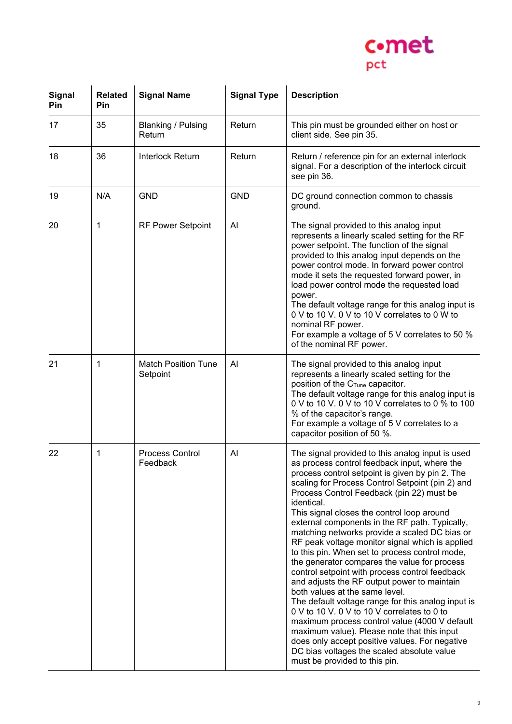

| <b>Signal</b><br>Pin | <b>Related</b><br>Pin | <b>Signal Name</b>                     | <b>Signal Type</b> | <b>Description</b>                                                                                                                                                                                                                                                                                                                                                                                                                                                                                                                                                                                                                                                                                                                                                                                                                                                                                                                                                                                                                                |
|----------------------|-----------------------|----------------------------------------|--------------------|---------------------------------------------------------------------------------------------------------------------------------------------------------------------------------------------------------------------------------------------------------------------------------------------------------------------------------------------------------------------------------------------------------------------------------------------------------------------------------------------------------------------------------------------------------------------------------------------------------------------------------------------------------------------------------------------------------------------------------------------------------------------------------------------------------------------------------------------------------------------------------------------------------------------------------------------------------------------------------------------------------------------------------------------------|
| 17                   | 35                    | <b>Blanking / Pulsing</b><br>Return    | Return             | This pin must be grounded either on host or<br>client side. See pin 35.                                                                                                                                                                                                                                                                                                                                                                                                                                                                                                                                                                                                                                                                                                                                                                                                                                                                                                                                                                           |
| 18                   | 36                    | Interlock Return                       | Return             | Return / reference pin for an external interlock<br>signal. For a description of the interlock circuit<br>see pin 36.                                                                                                                                                                                                                                                                                                                                                                                                                                                                                                                                                                                                                                                                                                                                                                                                                                                                                                                             |
| 19                   | N/A                   | <b>GND</b>                             | <b>GND</b>         | DC ground connection common to chassis<br>ground.                                                                                                                                                                                                                                                                                                                                                                                                                                                                                                                                                                                                                                                                                                                                                                                                                                                                                                                                                                                                 |
| 20                   | 1                     | <b>RF Power Setpoint</b>               | Al                 | The signal provided to this analog input<br>represents a linearly scaled setting for the RF<br>power setpoint. The function of the signal<br>provided to this analog input depends on the<br>power control mode. In forward power control<br>mode it sets the requested forward power, in<br>load power control mode the requested load<br>power.<br>The default voltage range for this analog input is<br>0 V to 10 V. 0 V to 10 V correlates to 0 W to<br>nominal RF power.<br>For example a voltage of 5 V correlates to 50 %<br>of the nominal RF power.                                                                                                                                                                                                                                                                                                                                                                                                                                                                                      |
| 21                   | 1                     | <b>Match Position Tune</b><br>Setpoint | AI                 | The signal provided to this analog input<br>represents a linearly scaled setting for the<br>position of the C <sub>Tune</sub> capacitor.<br>The default voltage range for this analog input is<br>0 V to 10 V. 0 V to 10 V correlates to 0 % to 100<br>% of the capacitor's range.<br>For example a voltage of 5 V correlates to a<br>capacitor position of 50 %.                                                                                                                                                                                                                                                                                                                                                                                                                                                                                                                                                                                                                                                                                 |
| 22                   | 1                     | <b>Process Control</b><br>Feedback     | Al                 | The signal provided to this analog input is used<br>as process control feedback input, where the<br>process control setpoint is given by pin 2. The<br>scaling for Process Control Setpoint (pin 2) and<br>Process Control Feedback (pin 22) must be<br>identical.<br>This signal closes the control loop around<br>external components in the RF path. Typically,<br>matching networks provide a scaled DC bias or<br>RF peak voltage monitor signal which is applied<br>to this pin. When set to process control mode,<br>the generator compares the value for process<br>control setpoint with process control feedback<br>and adjusts the RF output power to maintain<br>both values at the same level.<br>The default voltage range for this analog input is<br>0 V to 10 V. 0 V to 10 V correlates to 0 to<br>maximum process control value (4000 V default<br>maximum value). Please note that this input<br>does only accept positive values. For negative<br>DC bias voltages the scaled absolute value<br>must be provided to this pin. |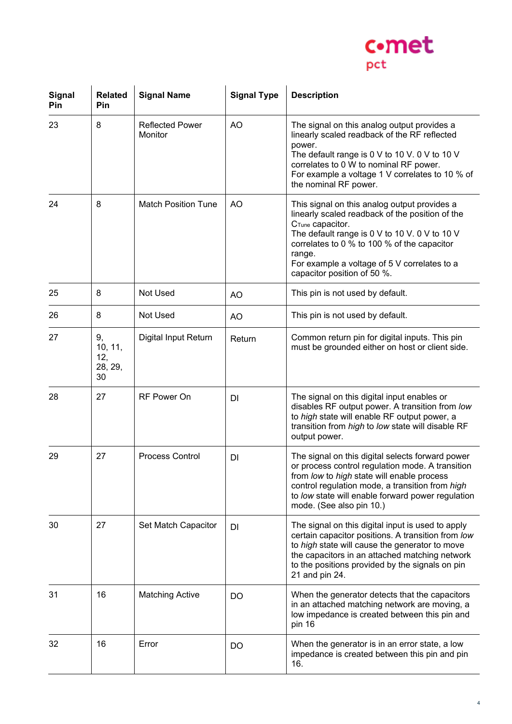

| Signal<br>Pin | <b>Related</b><br>Pin                 | <b>Signal Name</b>                | <b>Signal Type</b> | <b>Description</b>                                                                                                                                                                                                                                                                                                       |
|---------------|---------------------------------------|-----------------------------------|--------------------|--------------------------------------------------------------------------------------------------------------------------------------------------------------------------------------------------------------------------------------------------------------------------------------------------------------------------|
| 23            | 8                                     | <b>Reflected Power</b><br>Monitor | AO                 | The signal on this analog output provides a<br>linearly scaled readback of the RF reflected<br>power.<br>The default range is 0 V to 10 V. 0 V to 10 V<br>correlates to 0 W to nominal RF power.<br>For example a voltage 1 V correlates to 10 % of<br>the nominal RF power.                                             |
| 24            | 8                                     | Match Position Tune               | AO                 | This signal on this analog output provides a<br>linearly scaled readback of the position of the<br>C <sub>Tune</sub> capacitor.<br>The default range is 0 V to 10 V. 0 V to 10 V<br>correlates to 0 % to 100 % of the capacitor<br>range.<br>For example a voltage of 5 V correlates to a<br>capacitor position of 50 %. |
| 25            | 8                                     | Not Used                          | AO                 | This pin is not used by default.                                                                                                                                                                                                                                                                                         |
| 26            | 8                                     | Not Used                          | AO                 | This pin is not used by default.                                                                                                                                                                                                                                                                                         |
| 27            | 9,<br>10, 11,<br>12,<br>28, 29,<br>30 | Digital Input Return              | Return             | Common return pin for digital inputs. This pin<br>must be grounded either on host or client side.                                                                                                                                                                                                                        |
| 28            | 27                                    | RF Power On                       | DI                 | The signal on this digital input enables or<br>disables RF output power. A transition from low<br>to high state will enable RF output power, a<br>transition from high to low state will disable RF<br>output power.                                                                                                     |
| 29            | 27                                    | <b>Process Control</b>            | DI                 | The signal on this digital selects forward power<br>or process control regulation mode. A transition<br>from low to high state will enable process<br>control regulation mode, a transition from high<br>to low state will enable forward power regulation<br>mode. (See also pin 10.)                                   |
| 30            | 27                                    | Set Match Capacitor               | <b>DI</b>          | The signal on this digital input is used to apply<br>certain capacitor positions. A transition from low<br>to high state will cause the generator to move<br>the capacitors in an attached matching network<br>to the positions provided by the signals on pin<br>21 and pin 24.                                         |
| 31            | 16                                    | <b>Matching Active</b>            | DO                 | When the generator detects that the capacitors<br>in an attached matching network are moving, a<br>low impedance is created between this pin and<br>pin 16                                                                                                                                                               |
| 32            | 16                                    | Error                             | DO.                | When the generator is in an error state, a low<br>impedance is created between this pin and pin<br>16.                                                                                                                                                                                                                   |